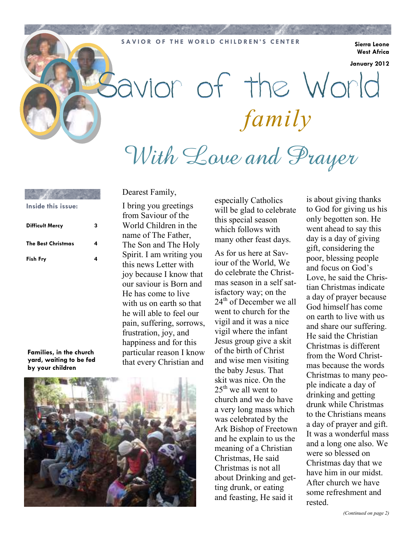#### **SAVIOR OF THE WORLD CHILDREN'S CENTER** Sierra Leone

**West Africa** 

**January 2012** 

# Savior of the World *family* With Lave and Prayer

**Difficult Mercy 3 The Best Christmas 4 Fish Fry 4 Inside this issue:**

Dearest Family,

I bring you greetings from Saviour of the World Children in the name of The Father, The Son and The Holy Spirit. I am writing you this news Letter with joy because I know that our saviour is Born and He has come to live with us on earth so that he will able to feel our pain, suffering, sorrows, frustration, joy, and happiness and for this particular reason I know that every Christian and

**Families, in the church yard, waiting to be fed by your children** 



especially Catholics will be glad to celebrate this special season which follows with many other feast days.

As for us here at Saviour of the World, We do celebrate the Christmas season in a self satisfactory way; on the  $24<sup>th</sup>$  of December we all went to church for the vigil and it was a nice vigil where the infant Jesus group give a skit of the birth of Christ and wise men visiting the baby Jesus. That skit was nice. On the  $25<sup>th</sup>$  we all went to church and we do have a very long mass which was celebrated by the Ark Bishop of Freetown and he explain to us the meaning of a Christian Christmas, He said Christmas is not all about Drinking and getting drunk, or eating and feasting, He said it

is about giving thanks to God for giving us his only begotten son. He went ahead to say this day is a day of giving gift, considering the poor, blessing people and focus on God's Love, he said the Christian Christmas indicate a day of prayer because God himself has come on earth to live with us and share our suffering. He said the Christian Christmas is different from the Word Christmas because the words Christmas to many people indicate a day of drinking and getting drunk while Christmas to the Christians means a day of prayer and gift. It was a wonderful mass and a long one also. We were so blessed on Christmas day that we have him in our midst After church we have some refreshment and rested.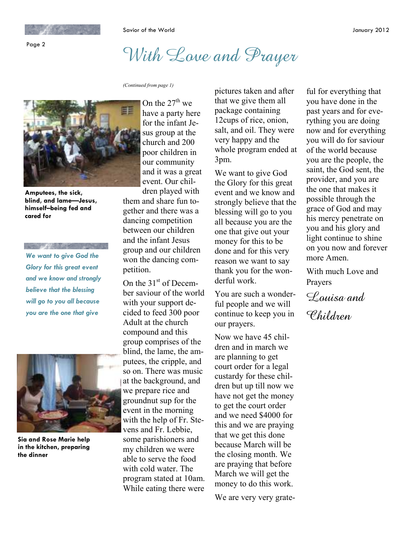Page 2

Savior of the World January 2012

## With Love and Prayer

*(Continued from page 1)* 



**Amputees, the sick, blind, and lame—Jesus, himself–being fed and cared for** 

*We want to give God the Glory for this great event and we know and strongly believe that the blessing will go to you all because you are the one that give* 



**Sia and Rose Marie help in the kitchen, preparing the dinner** 

On the  $27<sup>th</sup>$  we have a party here for the infant Jesus group at the church and 200 poor children in our community and it was a great event. Our children played with

them and share fun together and there was a dancing competition between our children and the infant Jesus group and our children won the dancing competition.

On the  $31<sup>st</sup>$  of December saviour of the world with your support decided to feed 300 poor Adult at the church compound and this group comprises of the blind, the lame, the amputees, the cripple, and so on. There was music at the background, and we prepare rice and groundnut sup for the event in the morning with the help of Fr. Stevens and Fr. Lebbie, some parishioners and my children we were able to serve the food with cold water. The program stated at 10am. While eating there were

pictures taken and after that we give them all package containing 12cups of rice, onion, salt, and oil. They were very happy and the whole program ended at 3pm.

We want to give God the Glory for this great event and we know and strongly believe that the blessing will go to you all because you are the one that give out your money for this to be done and for this very reason we want to say thank you for the wonderful work.

You are such a wonderful people and we will continue to keep you in our prayers.

Now we have 45 children and in march we are planning to get court order for a legal custardy for these children but up till now we have not get the money to get the court order and we need \$4000 for this and we are praying that we get this done because March will be the closing month. We are praying that before March we will get the money to do this work.

We are very very grate-

ful for everything that you have done in the past years and for everything you are doing now and for everything you will do for saviour of the world because you are the people, the saint, the God sent, the provider, and you are the one that makes it possible through the grace of God and may his mercy penetrate on you and his glory and light continue to shine on you now and forever more Amen.

With much Love and Prayers

Louisa and Children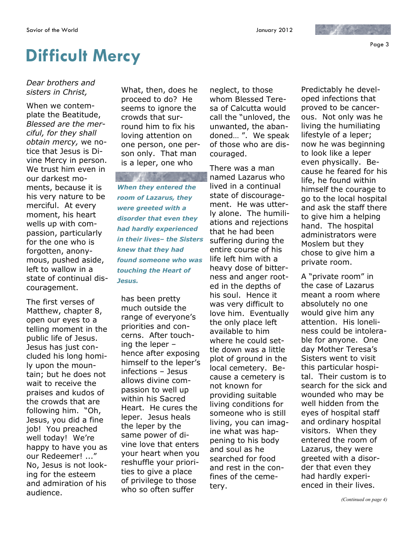Page 3

## **Difficult Mercy**

*Dear brothers and sisters in Christ,*

When we contemplate the Beatitude, *Blessed are the merciful, for they shall obtain mercy,* we notice that Jesus is Divine Mercy in person. We trust him even in our darkest moments, because it is his very nature to be merciful. At every moment, his heart wells up with compassion, particularly for the one who is forgotten, anonymous, pushed aside, left to wallow in a state of continual discouragement.

The first verses of Matthew, chapter 8, open our eyes to a telling moment in the public life of Jesus. Jesus has just concluded his long homily upon the mountain; but he does not wait to receive the praises and kudos of the crowds that are following him. "Oh, Jesus, you did a fine job! You preached well today! We're happy to have you as our Redeemer! ..." No, Jesus is not looking for the esteem and admiration of his audience.

What, then, does he proceed to do? He seems to ignore the crowds that surround him to fix his loving attention on one person, one person only. That man is a leper, one who

*When they entered the room of Lazarus, they were greeted with a disorder that even they had hardly experienced in their lives– the Sisters knew that they had found someone who was touching the Heart of Jesus.* 

has been pretty much outside the range of everyone's priorities and concerns. After touching the leper – hence after exposing himself to the leper's infections – Jesus allows divine compassion to well up within his Sacred Heart. He cures the leper. Jesus heals the leper by the same power of divine love that enters your heart when you reshuffle your priorities to give a place of privilege to those who so often suffer

neglect, to those whom Blessed Teresa of Calcutta would call the "unloved, the unwanted, the abandoned… ". We speak of those who are discouraged.

There was a man named Lazarus who lived in a continual state of discouragement. He was utterly alone. The humiliations and rejections that he had been suffering during the entire course of his life left him with a heavy dose of bitterness and anger rooted in the depths of his soul. Hence it was very difficult to love him. Eventually the only place left available to him where he could settle down was a little plot of ground in the local cemetery. Because a cemetery is not known for providing suitable living conditions for someone who is still living, you can imagine what was happening to his body and soul as he searched for food and rest in the confines of the cemetery.

Predictably he developed infections that proved to be cancerous. Not only was he living the humiliating lifestyle of a leper; now he was beginning to look like a leper even physically. Because he feared for his life, he found within himself the courage to go to the local hospital and ask the staff there to give him a helping hand. The hospital administrators were Moslem but they chose to give him a private room.

 $\mathcal{L}$  , where  $\mathcal{L}$ 

A "private room" in the case of Lazarus meant a room where absolutely no one would give him any attention. His loneliness could be intolerable for anyone. One day Mother Teresa's Sisters went to visit this particular hospital. Their custom is to search for the sick and wounded who may be well hidden from the eyes of hospital staff and ordinary hospital visitors. When they entered the room of Lazarus, they were greeted with a disorder that even they had hardly experienced in their lives.